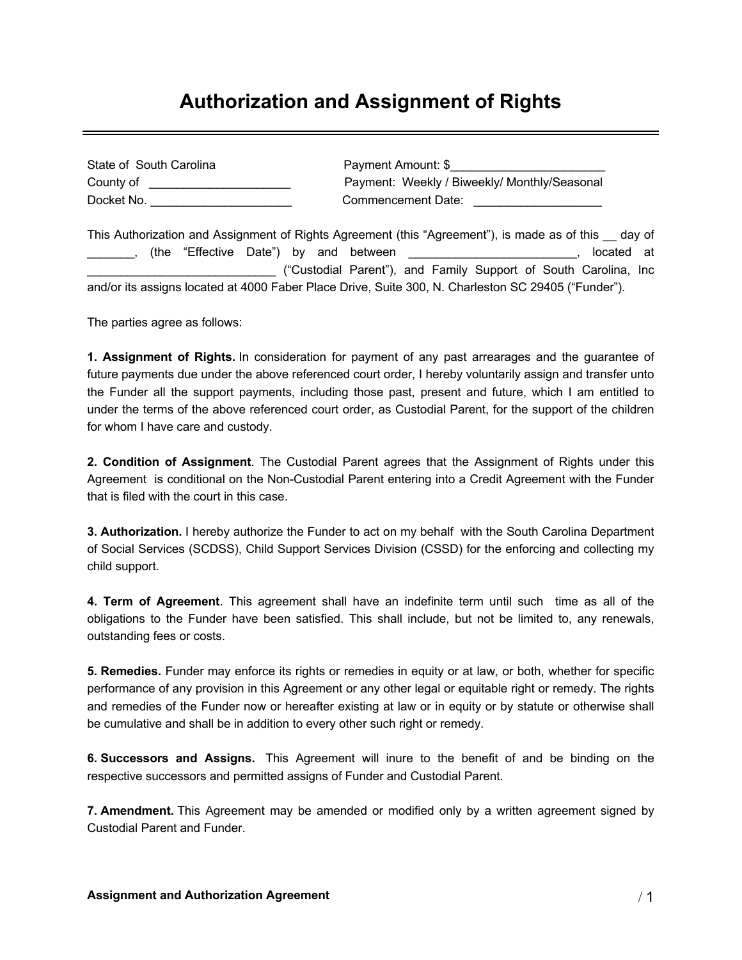## **Authorization and Assignment of Rights**

| State of South Carolina | Payment Amount: \$                           |
|-------------------------|----------------------------------------------|
| County of               | Payment: Weekly / Biweekly/ Monthly/Seasonal |
| Docket No.              | Commencement Date:                           |

This Authorization and Assignment of Rights Agreement (this "Agreement"), is made as of this \_\_ day of \_\_\_\_\_\_\_, (the "Effective Date") by and between \_\_\_\_\_\_\_\_\_\_\_\_\_\_\_\_\_\_\_\_\_\_\_\_\_, located at \_\_\_\_\_\_\_\_\_\_\_\_\_\_\_\_\_\_\_\_\_\_\_\_\_\_\_\_ ("Custodial Parent"), and Family Support of South Carolina, Inc and/or its assigns located at 4000 Faber Place Drive, Suite 300, N. Charleston SC 29405 ("Funder").

The parties agree as follows:

**1. Assignment of Rights.** In consideration for payment of any past arrearages and the guarantee of future payments due under the above referenced court order, I hereby voluntarily assign and transfer unto the Funder all the support payments, including those past, present and future, which I am entitled to under the terms of the above referenced court order, as Custodial Parent, for the support of the children for whom I have care and custody.

**2. Condition of Assignment**. The Custodial Parent agrees that the Assignment of Rights under this Agreement is conditional on the Non-Custodial Parent entering into a Credit Agreement with the Funder that is filed with the court in this case.

**3. Authorization.** I hereby authorize the Funder to act on my behalf with the South Carolina Department of Social Services (SCDSS), Child Support Services Division (CSSD) for the enforcing and collecting my child support.

**4. Term of Agreement**. This agreement shall have an indefinite term until such time as all of the obligations to the Funder have been satisfied. This shall include, but not be limited to, any renewals, outstanding fees or costs.

**5. Remedies.** Funder may enforce its rights or remedies in equity or at law, or both, whether for specific performance of any provision in this Agreement or any other legal or equitable right or remedy. The rights and remedies of the Funder now or hereafter existing at law or in equity or by statute or otherwise shall be cumulative and shall be in addition to every other such right or remedy.

**6. Successors and Assigns.** This Agreement will inure to the benefit of and be binding on the respective successors and permitted assigns of Funder and Custodial Parent.

**7. Amendment.** This Agreement may be amended or modified only by a written agreement signed by Custodial Parent and Funder.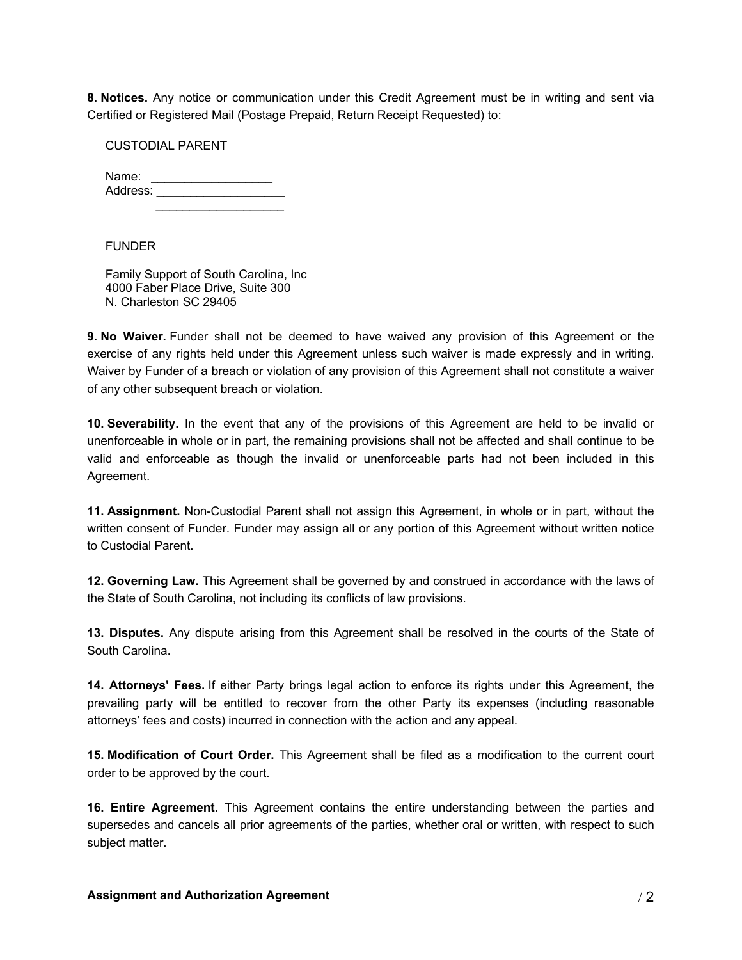**8. Notices.** Any notice or communication under this Credit Agreement must be in writing and sent via Certified or Registered Mail (Postage Prepaid, Return Receipt Requested) to:

## CUSTODIAL PARENT

| Name:    |  |
|----------|--|
| Address: |  |
|          |  |

## FUNDER

Family Support of South Carolina, Inc 4000 Faber Place Drive, Suite 300 N. Charleston SC 29405

**9. No Waiver.** Funder shall not be deemed to have waived any provision of this Agreement or the exercise of any rights held under this Agreement unless such waiver is made expressly and in writing. Waiver by Funder of a breach or violation of any provision of this Agreement shall not constitute a waiver of any other subsequent breach or violation.

**10. Severability.** In the event that any of the provisions of this Agreement are held to be invalid or unenforceable in whole or in part, the remaining provisions shall not be affected and shall continue to be valid and enforceable as though the invalid or unenforceable parts had not been included in this Agreement.

**11. Assignment.** Non-Custodial Parent shall not assign this Agreement, in whole or in part, without the written consent of Funder. Funder may assign all or any portion of this Agreement without written notice to Custodial Parent.

**12. Governing Law.** This Agreement shall be governed by and construed in accordance with the laws of the State of South Carolina, not including its conflicts of law provisions.

**13. Disputes.** Any dispute arising from this Agreement shall be resolved in the courts of the State of South Carolina.

**14. Attorneys' Fees.** If either Party brings legal action to enforce its rights under this Agreement, the prevailing party will be entitled to recover from the other Party its expenses (including reasonable attorneys' fees and costs) incurred in connection with the action and any appeal.

**15. Modification of Court Order.** This Agreement shall be filed as a modification to the current court order to be approved by the court.

**16. Entire Agreement.** This Agreement contains the entire understanding between the parties and supersedes and cancels all prior agreements of the parties, whether oral or written, with respect to such subject matter.